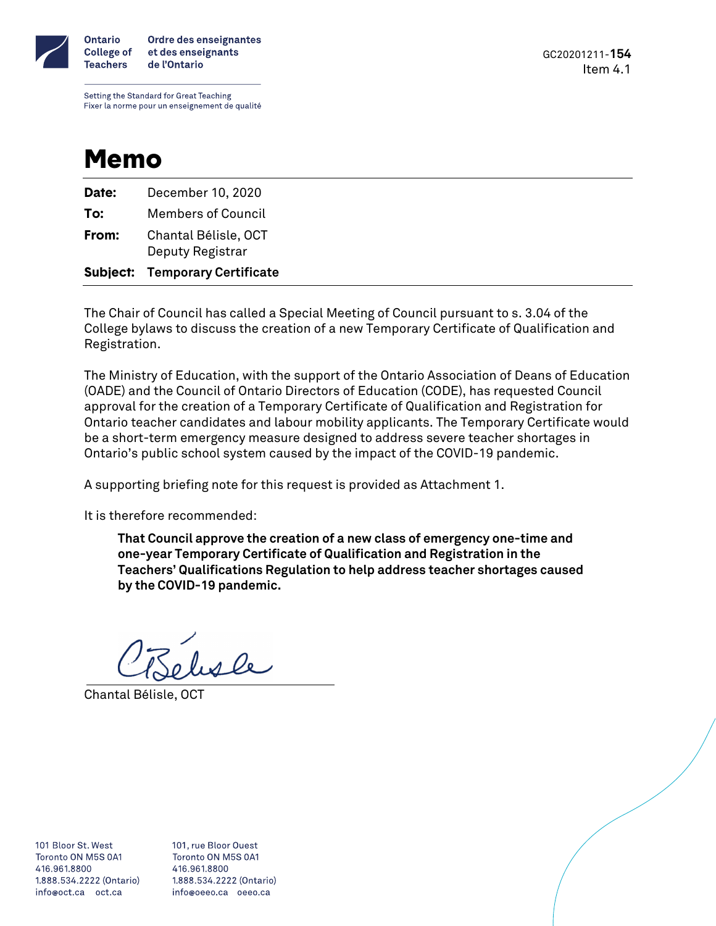

GC20201211-**154** Item 4.1

Setting the Standard for Great Teaching Fixer la norme pour un enseignement de qualité

## Memo

|       | <b>Subject: Temporary Certificate</b> |
|-------|---------------------------------------|
|       | Deputy Registrar                      |
| From: | Chantal Bélisle, OCT                  |
| To:   | <b>Members of Council</b>             |
| Date: | December 10, 2020                     |

The Chair of Council has called a Special Meeting of Council pursuant to s. 3.04 of the College bylaws to discuss the creation of a new Temporary Certificate of Qualification and Registration.

The Ministry of Education, with the support of the Ontario Association of Deans of Education (OADE) and the Council of Ontario Directors of Education (CODE), has requested Council approval for the creation of a Temporary Certificate of Qualification and Registration for Ontario teacher candidates and labour mobility applicants. The Temporary Certificate would be a short-term emergency measure designed to address severe teacher shortages in Ontario's public school system caused by the impact of the COVID-19 pandemic.

A supporting briefing note for this request is provided as Attachment 1.

It is therefore recommended:

**That Council approve the creation of a new class of emergency one-time and one-year Temporary Certificate of Qualification and Registration in the Teachers' Qualifications Regulation to help address teacher shortages caused by the COVID-19 pandemic.**

wele

Chantal Bélisle, OCT

101 Bloor St. West Toronto ON M5S 0A1 416.961.8800 1,888,534,2222 (Ontario) info@oct.ca oct.ca

101, rue Bloor Ouest Toronto ON M5S 0A1 416.961.8800 1,888,534,2222 (Ontario) info@oeeo.ca oeeo.ca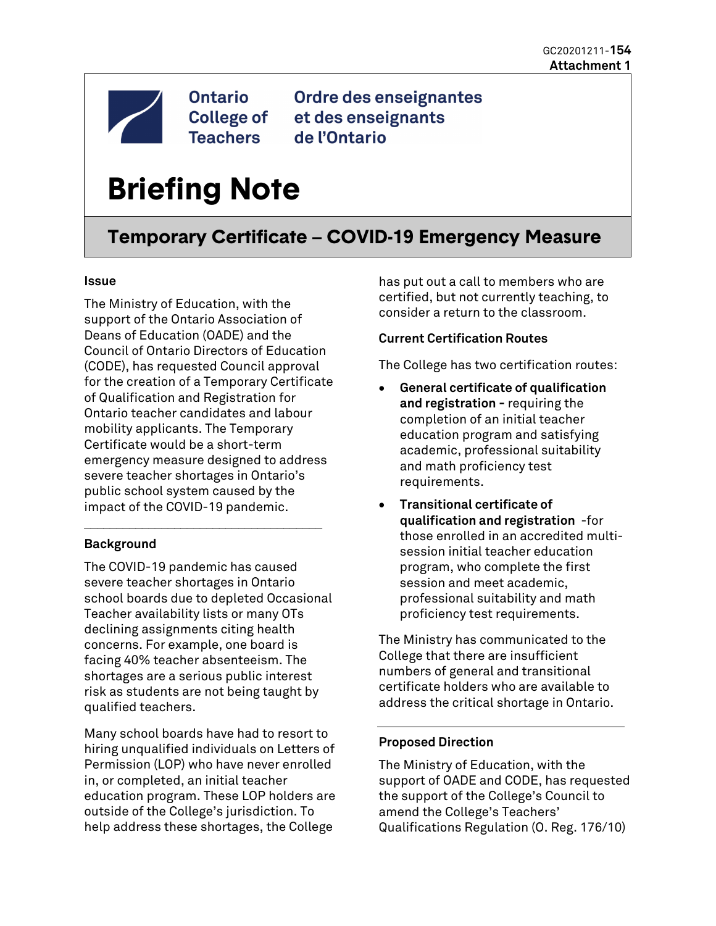

**Ontario College of Teachers** 

Ordre des enseignantes et des enseignants de l'Ontario

# **Briefing Note**

### **Temporary Certificate – COVID-19 Emergency Measure**

#### **Issue**

The Ministry of Education, with the support of the Ontario Association of Deans of Education (OADE) and the Council of Ontario Directors of Education (CODE), has requested Council approval for the creation of a Temporary Certificate of Qualification and Registration for Ontario teacher candidates and labour mobility applicants. The Temporary Certificate would be a short-term emergency measure designed to address severe teacher shortages in Ontario's public school system caused by the impact of the COVID-19 pandemic.

#### **Background**

The COVID-19 pandemic has caused severe teacher shortages in Ontario school boards due to depleted Occasional Teacher availability lists or many OTs declining assignments citing health concerns. For example, one board is facing 40% teacher absenteeism. The shortages are a serious public interest risk as students are not being taught by qualified teachers.

\_\_\_\_\_\_\_\_\_\_\_\_\_\_\_\_\_\_\_\_\_\_\_\_\_\_\_\_\_\_\_\_\_\_\_\_\_

Many school boards have had to resort to hiring unqualified individuals on Letters of Permission (LOP) who have never enrolled in, or completed, an initial teacher education program. These LOP holders are outside of the College's jurisdiction. To help address these shortages, the College

has put out a call to members who are certified, but not currently teaching, to consider a return to the classroom.

#### **Current Certification Routes**

The College has two certification routes:

- **General certificate of qualification and registration -** requiring the completion of an initial teacher education program and satisfying academic, professional suitability and math proficiency test requirements.
- **Transitional certificate of qualification and registration** -for those enrolled in an accredited multisession initial teacher education program, who complete the first session and meet academic, professional suitability and math proficiency test requirements.

The Ministry has communicated to the College that there are insufficient numbers of general and transitional certificate holders who are available to address the critical shortage in Ontario.

#### **Proposed Direction**

The Ministry of Education, with the support of OADE and CODE, has requested the support of the College's Council to amend the College's Teachers' Qualifications Regulation (O. Reg. 176/10)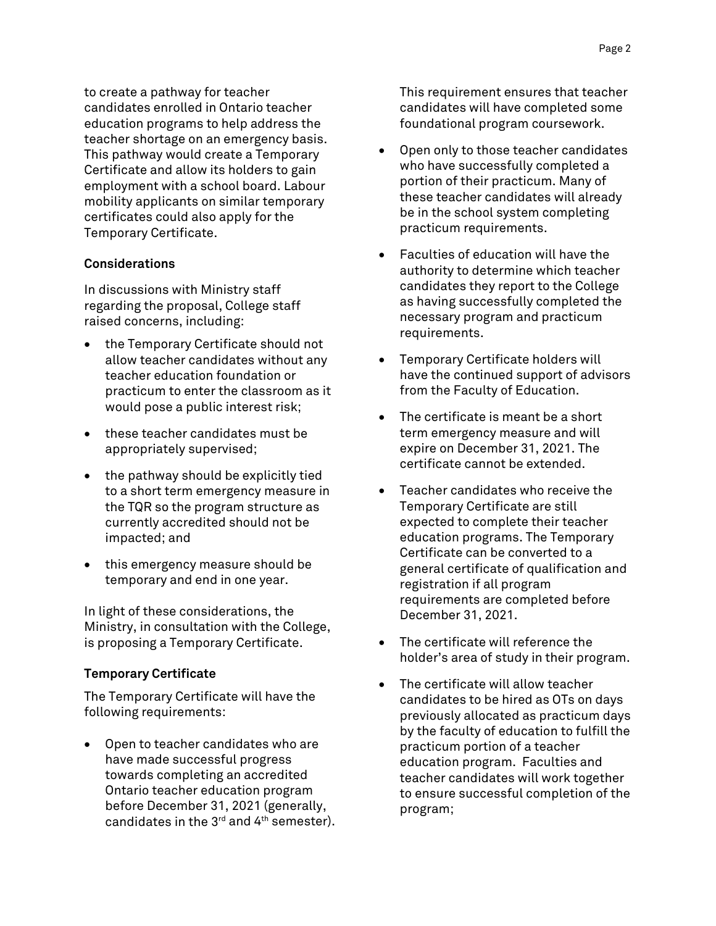to create a pathway for teacher candidates enrolled in Ontario teacher education programs to help address the teacher shortage on an emergency basis. This pathway would create a Temporary Certificate and allow its holders to gain employment with a school board. Labour mobility applicants on similar temporary certificates could also apply for the Temporary Certificate.

#### **Considerations**

In discussions with Ministry staff regarding the proposal, College staff raised concerns, including:

- the Temporary Certificate should not allow teacher candidates without any teacher education foundation or practicum to enter the classroom as it would pose a public interest risk;
- these teacher candidates must be appropriately supervised;
- the pathway should be explicitly tied to a short term emergency measure in the TQR so the program structure as currently accredited should not be impacted; and
- this emergency measure should be temporary and end in one year.

In light of these considerations, the Ministry, in consultation with the College, is proposing a Temporary Certificate.

#### **Temporary Certificate**

The Temporary Certificate will have the following requirements:

• Open to teacher candidates who are have made successful progress towards completing an accredited Ontario teacher education program before December 31, 2021 (generally, candidates in the  $3^{rd}$  and  $4^{th}$  semester). This requirement ensures that teacher candidates will have completed some foundational program coursework.

- Open only to those teacher candidates who have successfully completed a portion of their practicum. Many of these teacher candidates will already be in the school system completing practicum requirements.
- Faculties of education will have the authority to determine which teacher candidates they report to the College as having successfully completed the necessary program and practicum requirements.
- Temporary Certificate holders will have the continued support of advisors from the Faculty of Education.
- The certificate is meant be a short term emergency measure and will expire on December 31, 2021. The certificate cannot be extended.
- Teacher candidates who receive the Temporary Certificate are still expected to complete their teacher education programs. The Temporary Certificate can be converted to a general certificate of qualification and registration if all program requirements are completed before December 31, 2021.
- The certificate will reference the holder's area of study in their program.
- The certificate will allow teacher candidates to be hired as OTs on days previously allocated as practicum days by the faculty of education to fulfill the practicum portion of a teacher education program. Faculties and teacher candidates will work together to ensure successful completion of the program;